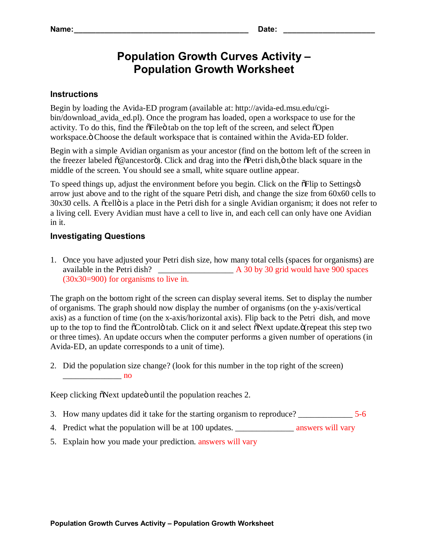## **Population Growth Curves Activity – Population Growth Worksheet**

## **Instructions**

Begin by loading the Avida-ED program (available at: http://avida-ed.msu.edu/cgibin/download\_avida\_ed.pl). Once the program has loaded, open a workspace to use for the activity. To do this, find the  $\delta$ File $\ddot{o}$  tab on the top left of the screen, and select  $\delta$ Open workspace. " Choose the default workspace that is contained within the Avida-ED folder.

Begin with a simple Avidian organism as your ancestor (find on the bottom left of the screen in the freezer labeled  $\tilde{o}$ @ancestorö). Click and drag into the  $\tilde{o}$ Petri dish, $\ddot{o}$  the black square in the middle of the screen. You should see a small, white square outline appear.

To speed things up, adjust the environment before you begin. Click on the  $\delta$ Flip to Settingsö arrow just above and to the right of the square Petri dish, and change the size from 60x60 cells to  $30x30$  cells. A  $\tilde{\alpha}$  cell $\ddot{\text{o}}$  is a place in the Petri dish for a single Avidian organism; it does not refer to a living cell. Every Avidian must have a cell to live in, and each cell can only have one Avidian in it.

## **Investigating Questions**

1. Once you have adjusted your Petri dish size, how many total cells (spaces for organisms) are available in the Petri dish? \_\_\_\_\_\_\_\_\_\_\_\_\_\_\_\_\_\_ A 30 by 30 grid would have 900 spaces (30x30=900) for organisms to live in.

The graph on the bottom right of the screen can display several items. Set to display the number of organisms. The graph should now display the number of organisms (on the y-axis/vertical axis) as a function of time (on the x-axis/horizontal axis). Flip back to the Petri dish, and move up to the top to find the  $\tilde{O}$ Controlo tab. Click on it and select  $\tilde{O}$ Next update. $\tilde{O}$ (repeat this step two or three times). An update occurs when the computer performs a given number of operations (in Avida-ED, an update corresponds to a unit of time).

2. Did the population size change? (look for this number in the top right of the screen)  $\overline{\mathbf{p}}$  and  $\overline{\mathbf{p}}$  and  $\overline{\mathbf{p}}$  and  $\overline{\mathbf{p}}$  and  $\overline{\mathbf{p}}$  and  $\overline{\mathbf{p}}$ 

Keep clicking  $\delta$ Next update until the population reaches 2.

- 3. How many updates did it take for the starting organism to reproduce? \_\_\_\_\_\_\_\_\_\_\_\_\_ 5-6
- 4. Predict what the population will be at 100 updates. \_\_\_\_\_\_\_\_\_\_\_\_\_\_\_\_\_\_\_\_\_\_\_\_\_\_ answers will vary
- 5. Explain how you made your prediction. answers will vary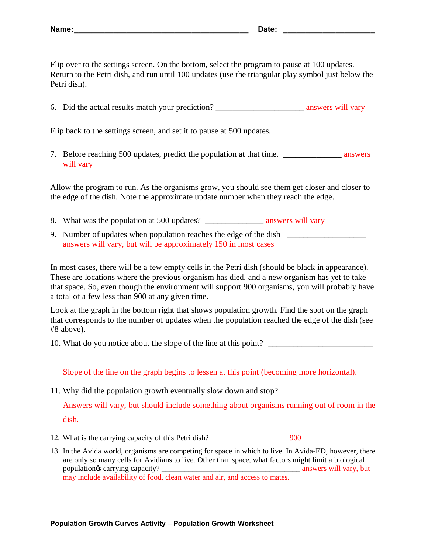Flip over to the settings screen. On the bottom, select the program to pause at 100 updates. Return to the Petri dish, and run until 100 updates (use the triangular play symbol just below the Petri dish).

6. Did the actual results match your prediction? \_\_\_\_\_\_\_\_\_\_\_\_\_\_\_\_\_\_\_\_\_ answers will vary

Flip back to the settings screen, and set it to pause at 500 updates.

7. Before reaching 500 updates, predict the population at that time. \_\_\_\_\_\_\_\_\_\_\_\_\_\_ answers will vary

Allow the program to run. As the organisms grow, you should see them get closer and closer to the edge of the dish. Note the approximate update number when they reach the edge.

- 8. What was the population at 500 updates? \_\_\_\_\_\_\_\_\_\_\_\_\_\_ answers will vary
- 9. Number of updates when population reaches the edge of the dish \_\_\_\_\_\_\_\_\_\_\_\_\_\_ answers will vary, but will be approximately 150 in most cases

In most cases, there will be a few empty cells in the Petri dish (should be black in appearance). These are locations where the previous organism has died, and a new organism has yet to take that space. So, even though the environment will support 900 organisms, you will probably have a total of a few less than 900 at any given time.

Look at the graph in the bottom right that shows population growth. Find the spot on the graph that corresponds to the number of updates when the population reached the edge of the dish (see #8 above).

10. What do you notice about the slope of the line at this point? \_\_\_\_\_\_\_\_\_\_\_\_\_\_\_\_\_\_\_\_\_\_\_\_\_

Slope of the line on the graph begins to lessen at this point (becoming more horizontal).

11. Why did the population growth eventually slow down and stop? \_\_\_\_\_\_\_\_\_\_\_\_\_\_\_\_\_\_\_\_\_\_

Answers will vary, but should include something about organisms running out of room in the dish.

\_\_\_\_\_\_\_\_\_\_\_\_\_\_\_\_\_\_\_\_\_\_\_\_\_\_\_\_\_\_\_\_\_\_\_\_\_\_\_\_\_\_\_\_\_\_\_\_\_\_\_\_\_\_\_\_\_\_\_\_\_\_\_\_\_\_\_\_\_\_\_\_\_\_\_

- 12. What is the carrying capacity of this Petri dish? \_\_\_\_\_\_\_\_\_\_\_\_\_\_\_\_\_\_\_\_\_\_\_\_\_ 900
- 13. In the Avida world, organisms are competing for space in which to live. In Avida-ED, however, there are only so many cells for Avidians to live. Other than space, what factors might limit a biological population's carrying capacity? \_\_\_\_\_\_\_\_\_\_\_\_\_\_\_\_\_\_\_\_\_\_\_\_\_\_\_\_\_\_\_\_\_\_\_\_ answers will vary, but may include availability of food, clean water and air, and access to mates.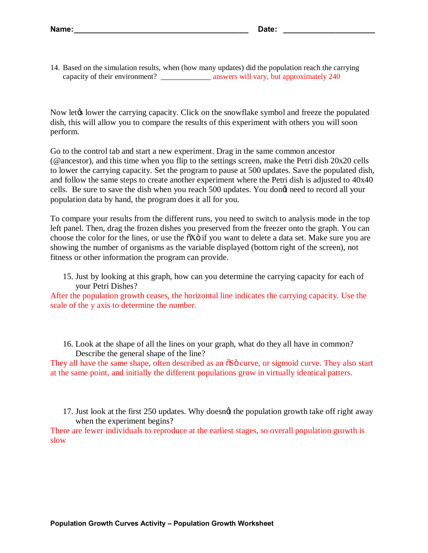14. Based on the simulation results, when (how many updates) did the population reach the carrying capacity of their environment? \_\_\_\_\_\_\_\_\_\_\_\_\_\_\_\_ answers will vary, but approximately 240

Now let the carrying capacity. Click on the snowflake symbol and freeze the populated dish, this will allow you to compare the results of this experiment with others you will soon perform.

Go to the control tab and start a new experiment. Drag in the same common ancestor (@ancestor), and this time when you flip to the settings screen, make the Petri dish 20x20 cells to lower the carrying capacity. Set the program to pause at 500 updates. Save the populated dish, and follow the same steps to create another experiment where the Petri dish is adjusted to 40x40 cells. Be sure to save the dish when you reach 500 updates. You dongt need to record all your population data by hand, the program does it all for you.

To compare your results from the different runs, you need to switch to analysis mode in the top left panel. Then, drag the frozen dishes you preserved from the freezer onto the graph. You can choose the color for the lines, or use the  $\tilde{o}X\tilde{o}$  if you want to delete a data set. Make sure you are showing the number of organisms as the variable displayed (bottom right of the screen), not fitness or other information the program can provide.

15. Just by looking at this graph, how can you determine the carrying capacity for each of your Petri Dishes?

After the population growth ceases, the horizontal line indicates the carrying capacity. Use the scale of the y axis to determine the number.

16. Look at the shape of all the lines on your graph, what do they all have in common? Describe the general shape of the line?

They all have the same shape, often described as an  $\delta S$  curve, or sigmoid curve. They also start at the same point, and initially the different populations grow in virtually identical patters.

17. Just look at the first 250 updates. Why doesngt the population growth take off right away when the experiment begins?

There are fewer individuals to reproduce at the earliest stages, so overall population growth is slow